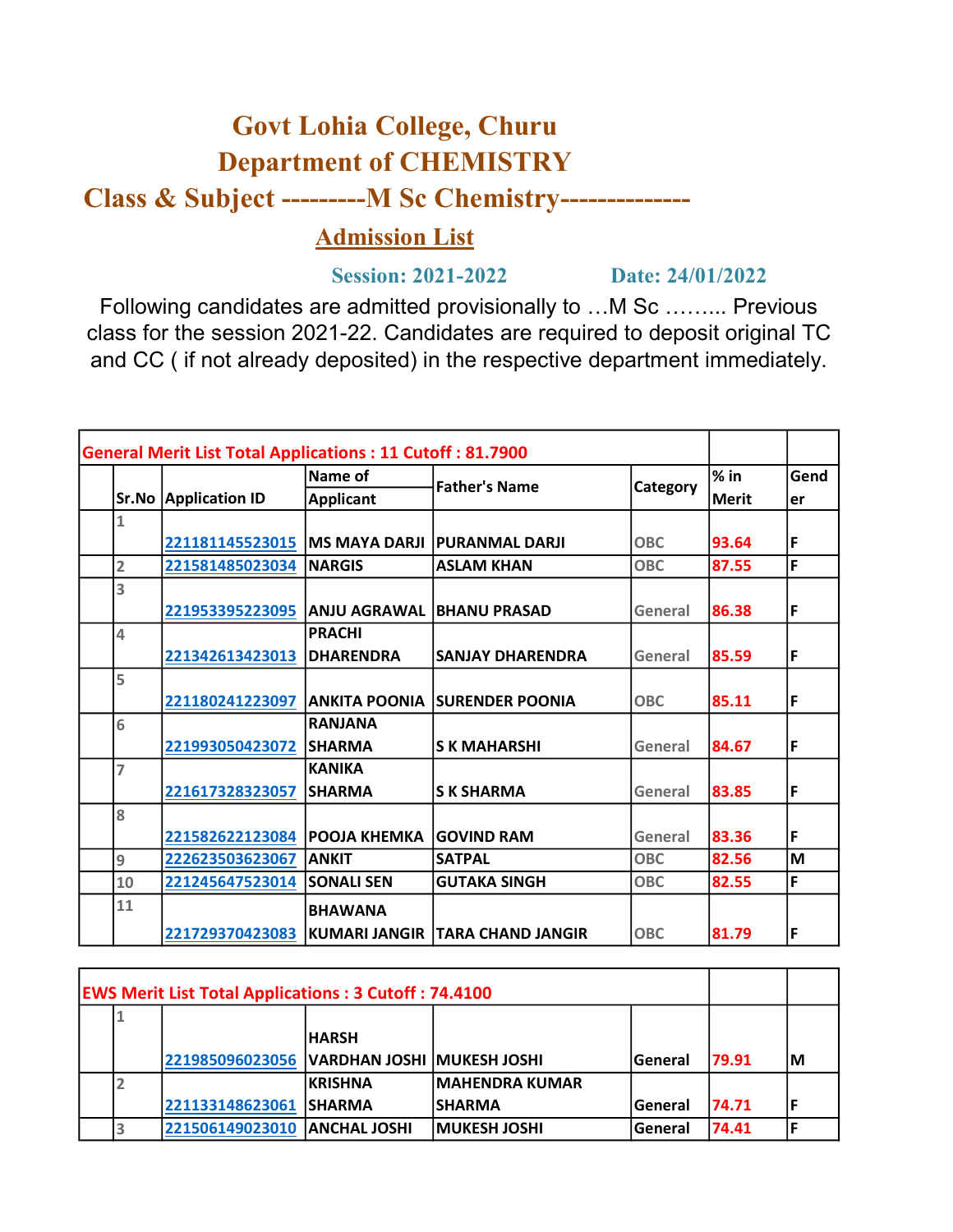## Govt Lohia College, Churu Department of CHEMISTRY

Class & Subject ---------M Sc Chemistry--------------

## Admission List

## Session: 2021-2022 Date: 24/01/2022

Following candidates are admitted provisionally to …M Sc ……... Previous class for the session 2021-22. Candidates are required to deposit original TC and CC ( if not already deposited) in the respective department immediately.

| <b>General Merit List Total Applications: 11 Cutoff: 81.7900</b> |                                 |                                  |                                        |            |         |      |
|------------------------------------------------------------------|---------------------------------|----------------------------------|----------------------------------------|------------|---------|------|
|                                                                  |                                 | Name of                          | <b>Father's Name</b>                   | Category   | $\%$ in | Gend |
|                                                                  | <b>Sr.No Application ID</b>     | <b>Applicant</b>                 |                                        |            | Merit   | er   |
|                                                                  |                                 |                                  |                                        |            |         |      |
|                                                                  | 221181145523015   MS MAYA DARJI |                                  | <b>PURANMAL DARJI</b>                  | <b>OBC</b> | 93.64   | F    |
| $\overline{2}$                                                   | 221581485023034                 | <b>INARGIS</b>                   | <b>ASLAM KHAN</b>                      | <b>OBC</b> | 87.55   | F    |
| 3                                                                |                                 |                                  |                                        |            |         |      |
|                                                                  | 221953395223095                 | <b>ANJU AGRAWAL BHANU PRASAD</b> |                                        | General    | 86.38   | F    |
| 4                                                                |                                 | <b>PRACHI</b>                    |                                        |            |         |      |
|                                                                  | 221342613423013                 | <b>IDHARENDRA</b>                | <b>SANJAY DHARENDRA</b>                | General    | 85.59   | F    |
| 5                                                                |                                 |                                  |                                        |            |         |      |
|                                                                  | 221180241223097                 | <b>ANKITA POONIA</b>             | <b>SURENDER POONIA</b>                 | <b>OBC</b> | 85.11   | F    |
| 6                                                                |                                 | <b>RANJANA</b>                   |                                        |            |         |      |
|                                                                  | 221993050423072                 | <b>SHARMA</b>                    | <b>SK MAHARSHI</b>                     | General    | 84.67   | F    |
| 7                                                                |                                 | <b>KANIKA</b>                    |                                        |            |         |      |
|                                                                  | 221617328323057                 | <b>SHARMA</b>                    | <b>SK SHARMA</b>                       | General    | 83.85   | F    |
| 8                                                                |                                 |                                  |                                        |            |         |      |
|                                                                  | 221582622123084                 | <b>IPOOJA KHEMKA</b>             | <b>IGOVIND RAM</b>                     | General    | 83.36   | F    |
| 9                                                                | 222623503623067                 | <b>ANKIT</b>                     | <b>SATPAL</b>                          | <b>OBC</b> | 82.56   | M    |
| 10                                                               | 221245647523014                 | <b>SONALI SEN</b>                | <b>GUTAKA SINGH</b>                    | <b>OBC</b> | 82.55   | F    |
| 11                                                               |                                 | <b>BHAWANA</b>                   |                                        |            |         |      |
|                                                                  | 221729370423083                 |                                  | <b>KUMARI JANGIR TARA CHAND JANGIR</b> | <b>OBC</b> | 81.79   | F    |

| <b>EWS Merit List Total Applications: 3 Cutoff: 74.4100</b> |  |                                                |               |                        |         |        |    |  |
|-------------------------------------------------------------|--|------------------------------------------------|---------------|------------------------|---------|--------|----|--|
|                                                             |  |                                                |               |                        |         |        |    |  |
|                                                             |  |                                                | <b>IHARSH</b> |                        |         |        |    |  |
|                                                             |  | 221985096023056   VARDHAN JOSHI   MUKESH JOSHI |               |                        | General | 179.91 | ΙM |  |
|                                                             |  |                                                | IKRISHNA      | <b>IMAHENDRA KUMAR</b> |         |        |    |  |
|                                                             |  | 221133148623061 SHARMA                         |               | ISHARMA                | General | 174.71 |    |  |
|                                                             |  | 221506149023010 ANCHAL JOSHI                   |               | <b>IMUKESH JOSHI</b>   | General | 74.41  |    |  |